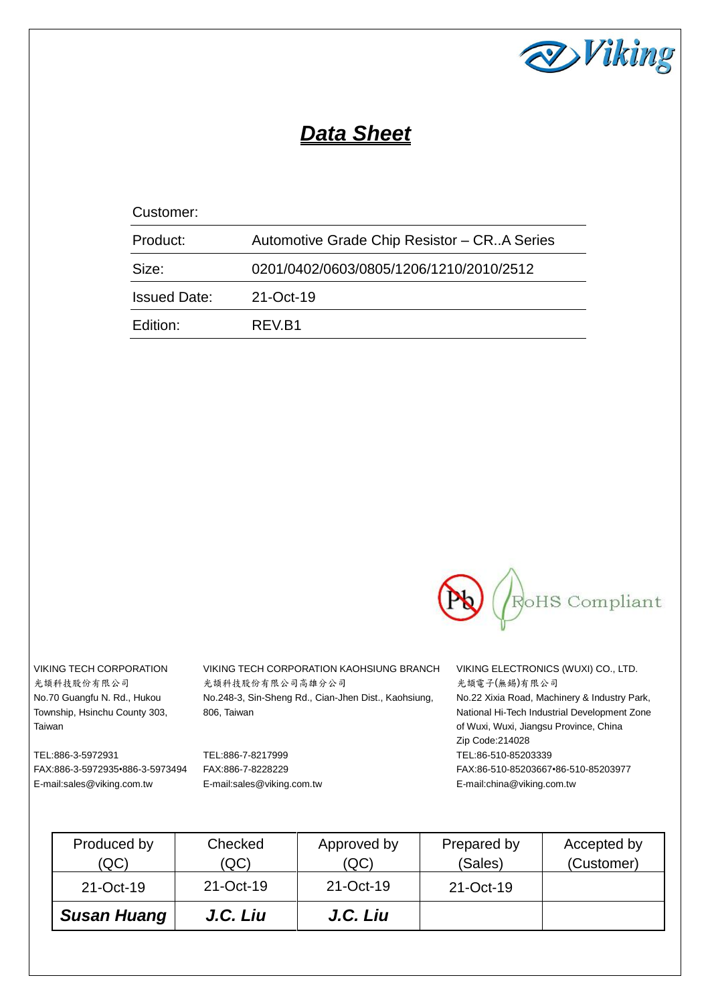

# *Data Sheet*

# Customer:

| Product:            | Automotive Grade Chip Resistor – CR. A Series |
|---------------------|-----------------------------------------------|
| Size:               | 0201/0402/0603/0805/1206/1210/2010/2512       |
| <b>Issued Date:</b> | 21-Oct-19                                     |
| Edition:            | REV.B1                                        |



光頡科技股份有限公司 No.70 Guangfu N. Rd., Hukou Township, Hsinchu County 303, Taiwan

VIKING TECH CORPORATION VIKING TECH CORPORATION KAOHSIUNG BRANCH VIKING ELECTRONICS (WUXI) CO., LTD. 光頡科技股份有限公司高雄分公司 No.248-3, Sin-Sheng Rd., Cian-Jhen Dist., Kaohsiung, 806, Taiwan

TEL:886-3-5972931 FAX:886-3-5972935•886-3-5973494 E-mail:sales@viking.com.tw

TEL:886-7-8217999 FAX:886-7-8228229 E-mail:sales@viking.com.tw

光頡電子(無錫)有限公司 No.22 Xixia Road, Machinery & Industry Park, National Hi-Tech Industrial Development Zone of Wuxi, Wuxi, Jiangsu Province, China Zip Code:214028 TEL:86-510-85203339 FAX:86-510-85203667•86-510-85203977 E-mail:china@viking.com.tw

| Produced by<br>(QC) | Checked<br>(QC) | Approved by<br>(QC) | Prepared by<br>(Sales) | Accepted by<br>(Customer) |
|---------------------|-----------------|---------------------|------------------------|---------------------------|
| 21-Oct-19           | 21-Oct-19       | 21-Oct-19           | 21-Oct-19              |                           |
| <b>Susan Huang</b>  | J.C. Liu        | J.C. Liu            |                        |                           |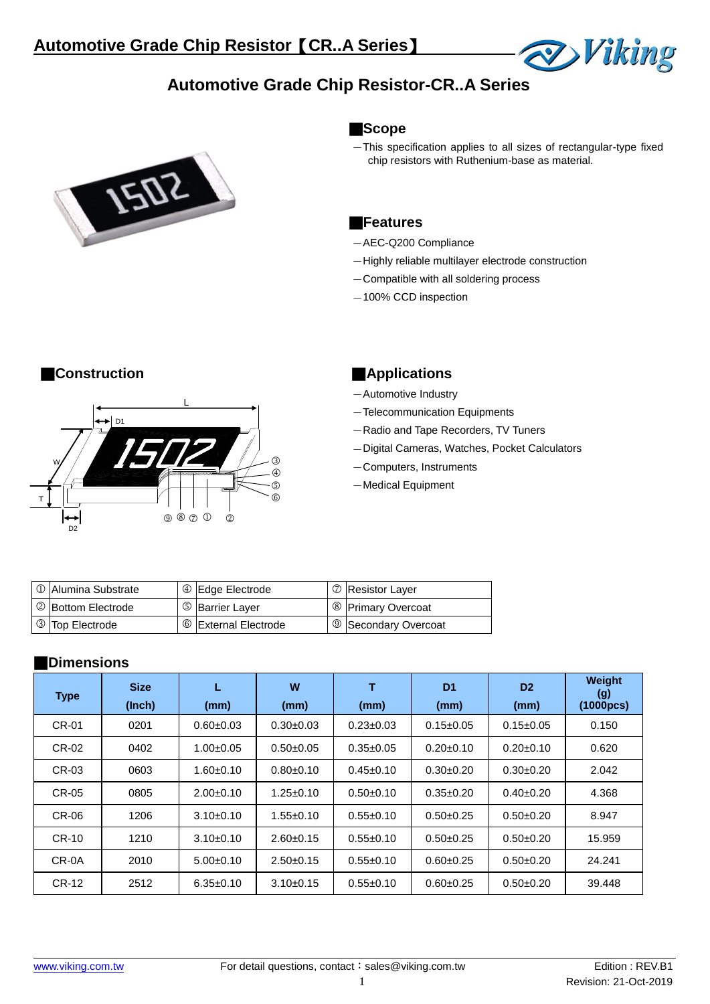



#### **Scope**

This specification applies to all sizes of rectangular-type fixed chip resistors with Ruthenium-base as material.

**Viking** 

#### **Features**

- AEC-Q200 Compliance
- Highly reliable multilayer electrode construction
- Compatible with all soldering process
- $-100\%$  CCD inspection



## **Construction Construction Applications**

- Automotive Industry
- Telecommunication Equipments
- Radio and Tape Recorders, TV Tuners
- Digital Cameras, Watches, Pocket Calculators
- Computers, Instruments
- Medical Equipment

| O Alumina Substrate | 4 Edge Electrode       | <b>D</b> Resistor Layer         |
|---------------------|------------------------|---------------------------------|
| 2 Bottom Electrode  | <b>5</b> Barrier Layer | <sup>8</sup> Primary Overcoat   |
| 3 Top Electrode     | © External Electrode   | <sup>9</sup> Secondary Overcoat |

## **Dimensions**

| <b>Type</b> | <b>Size</b><br>(Inch) | L<br>(mm)       | W<br>(mm)       | т<br>(mm)       | D <sub>1</sub><br>(mm) | D <sub>2</sub><br>(mm) | Weight<br>$\left( 9 \right)$<br>(1000pcs) |
|-------------|-----------------------|-----------------|-----------------|-----------------|------------------------|------------------------|-------------------------------------------|
| CR-01       | 0201                  | $0.60 + 0.03$   | $0.30 + 0.03$   | $0.23 \pm 0.03$ | $0.15 \pm 0.05$        | $0.15 \pm 0.05$        | 0.150                                     |
| CR-02       | 0402                  | $1.00 \pm 0.05$ | $0.50 + 0.05$   | $0.35 \pm 0.05$ | $0.20 \pm 0.10$        | $0.20 \pm 0.10$        | 0.620                                     |
| CR-03       | 0603                  | $1.60 + 0.10$   | $0.80 + 0.10$   | $0.45 \pm 0.10$ | $0.30+0.20$            | $0.30+0.20$            | 2.042                                     |
| CR-05       | 0805                  | $2.00+0.10$     | $1.25 \pm 0.10$ | $0.50+0.10$     | $0.35 \pm 0.20$        | $0.40+0.20$            | 4.368                                     |
| CR-06       | 1206                  | $3.10+0.10$     | $1.55 \pm 0.10$ | $0.55+0.10$     | $0.50+0.25$            | $0.50+0.20$            | 8.947                                     |
| CR-10       | 1210                  | $3.10+0.10$     | $2.60+0.15$     | $0.55+0.10$     | $0.50+0.25$            | $0.50+0.20$            | 15.959                                    |
| CR-0A       | 2010                  | $5.00+0.10$     | $2.50+0.15$     | $0.55 \pm 0.10$ | $0.60 + 0.25$          | $0.50+0.20$            | 24.241                                    |
| CR-12       | 2512                  | $6.35 \pm 0.10$ | $3.10 \pm 0.15$ | $0.55+0.10$     | $0.60 + 0.25$          | $0.50+0.20$            | 39.448                                    |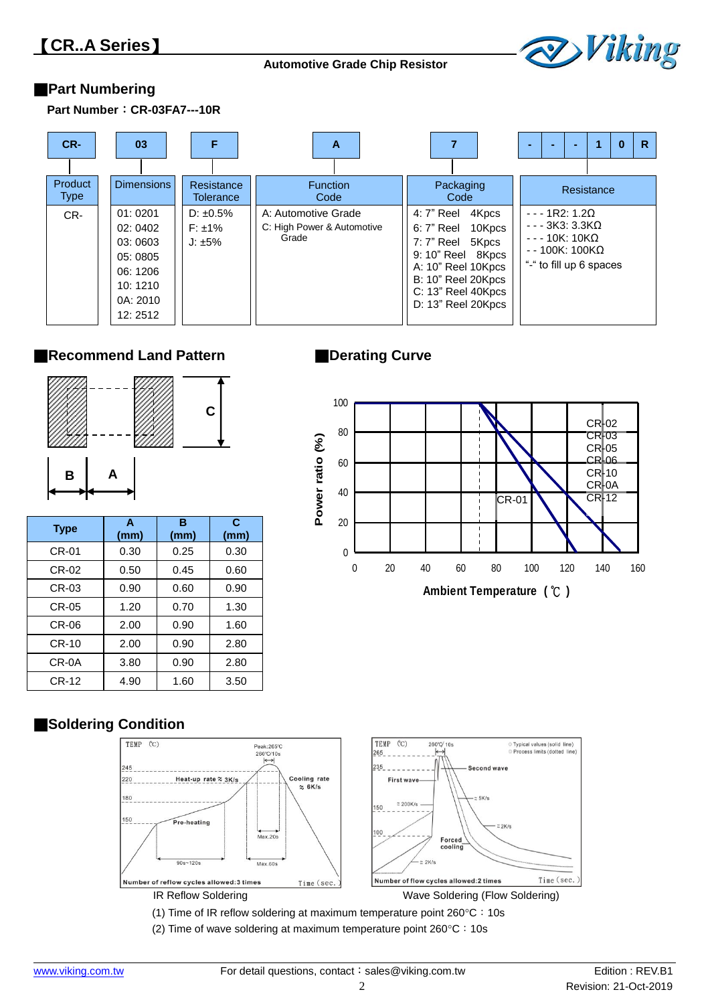

# **Part Numbering**

**Part Number CR-03FA7---10R**



## **Recommend Land Pattern**



| <b>Type</b>  | A<br>(mm) | B<br>(mm) | C<br>(mm) |
|--------------|-----------|-----------|-----------|
| <b>CR-01</b> | 0.30      | 0.25      | 0.30      |
| CR-02        | 0.50      | 0.45      | 0.60      |
| CR-03        | 0.90      | 0.60      | 0.90      |
| CR-05        | 1.20      | 0.70      | 1.30      |
| CR-06        | 2.00      | 0.90      | 1.60      |
| CR-10        | 2.00      | 0.90      | 2.80      |
| CR-0A        | 3.80      | 0.90      | 2.80      |
| $CR-12$      | 4.90      | 1.60      | 3.50      |

# **Derating Curve**



# **Soldering Condition**



(2) Time of wave soldering at maximum temperature point  $260^{\circ}$ C: 10s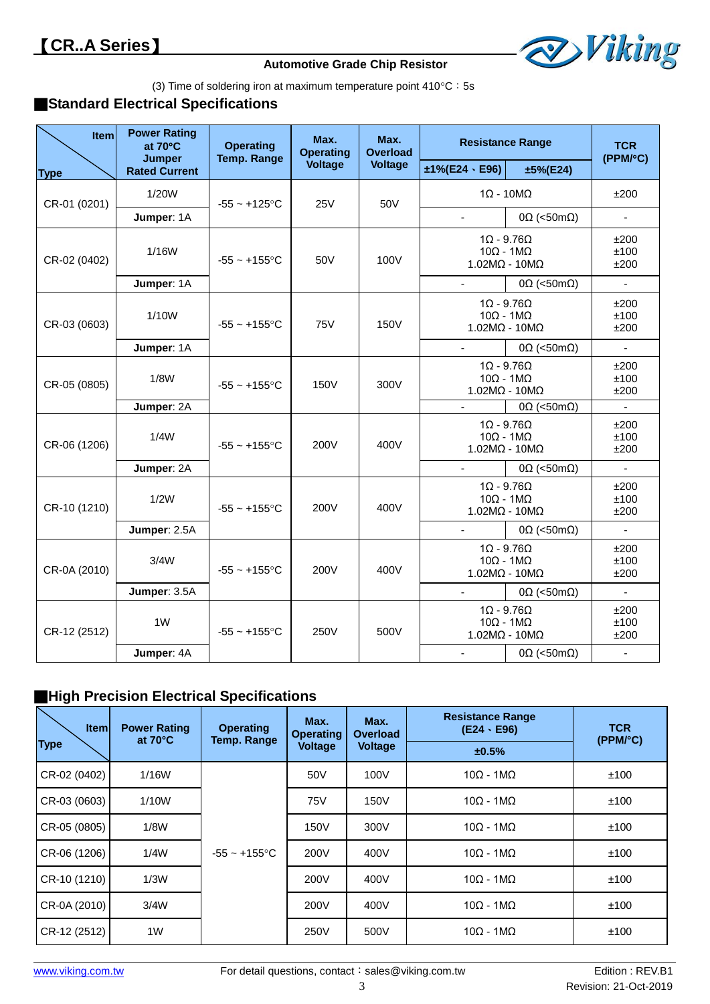

(3) Time of soldering iron at maximum temperature point  $410^{\circ}$ C: 5s

# **Standard Electrical Specifications**

| Item         | <b>Power Rating</b><br>at 70°C<br><b>Jumper</b> | <b>Operating</b><br><b>Temp. Range</b> | Max.<br><b>Operating</b> | Max.<br><b>Overload</b> | <b>Resistance Range</b>                                                      |                                                                              | <b>TCR</b><br>(PPM/°C) |
|--------------|-------------------------------------------------|----------------------------------------|--------------------------|-------------------------|------------------------------------------------------------------------------|------------------------------------------------------------------------------|------------------------|
| <b>Type</b>  | <b>Rated Current</b>                            |                                        | <b>Voltage</b>           | <b>Voltage</b>          | $±1\%$ (E24 · E96)                                                           | $±5\%$ (E24)                                                                 |                        |
| CR-01 (0201) | 1/20W                                           | $-55 - +125$ °C                        | <b>25V</b>               | 50V                     | $1\Omega - 10M\Omega$                                                        |                                                                              | ±200                   |
|              | Jumper: 1A                                      |                                        |                          |                         | $\sim$                                                                       | $0\Omega$ (<50m $\Omega$ )                                                   | $\blacksquare$         |
| CR-02 (0402) | 1/16W                                           | $-55 - +155$ °C                        | 50V                      | 100V                    | $1\Omega - 9.76\Omega$<br>$10\Omega - 1M\Omega$<br>$1.02M\Omega - 10M\Omega$ |                                                                              | ±200<br>±100<br>±200   |
|              | Jumper: 1A                                      |                                        |                          |                         |                                                                              | $0\Omega$ (<50m $\Omega$ )                                                   | $\blacksquare$         |
| CR-03 (0603) | 1/10W                                           | $-55 - +155$ °C                        | <b>75V</b>               | <b>150V</b>             |                                                                              | $1\Omega - 9.76\Omega$<br>$10\Omega - 1M\Omega$<br>$1.02M\Omega - 10M\Omega$ |                        |
|              | Jumper: 1A                                      |                                        |                          |                         | $\sim$                                                                       | $0\Omega$ (<50m $\Omega$ )                                                   | $\blacksquare$         |
| CR-05 (0805) | 1/8W                                            | $-55 - +155$ °C                        | 150V                     | 300V                    | $1\Omega - 9.76\Omega$<br>$10\Omega - 1M\Omega$<br>$1.02M\Omega - 10M\Omega$ |                                                                              | ±200<br>±100<br>±200   |
|              | Jumper: 2A                                      |                                        |                          |                         | $\blacksquare$                                                               | $0\Omega$ (<50m $\Omega$ )                                                   | $\blacksquare$         |
| CR-06 (1206) | 1/4W                                            | $-55 - +155$ °C                        | 200V                     | 400V                    | $10\Omega - 1M\Omega$                                                        | $1\Omega - 9.76\Omega$<br>$1.02M\Omega - 10M\Omega$                          | ±200<br>±100<br>±200   |
|              | Jumper: 2A                                      |                                        |                          |                         |                                                                              | $0\Omega$ (<50m $\Omega$ )                                                   | $\mathbf{r}$           |
| CR-10 (1210) | 1/2W                                            | $-55 - +155$ °C                        | 200V                     | 400V                    | $10\Omega - 1M\Omega$                                                        | $1\Omega - 9.76\Omega$<br>$1.02M\Omega - 10M\Omega$                          | ±200<br>±100<br>±200   |
|              | Jumper: 2.5A                                    |                                        |                          |                         |                                                                              | $0\Omega$ (<50m $\Omega$ )                                                   | $\mathbf{r}$           |
| CR-0A (2010) | 3/4W                                            | $-55 - +155$ °C                        | 200V                     | 400V                    | $10\Omega - 1M\Omega$<br>$1.02M\Omega - 10M\Omega$                           | $1\Omega - 9.76\Omega$                                                       | ±200<br>±100<br>±200   |
|              | Jumper: 3.5A                                    |                                        |                          |                         | $\mathbf{r}$                                                                 | $0\Omega$ (<50m $\Omega$ )                                                   | $\blacksquare$         |
| CR-12 (2512) | 1W                                              | $-55 - +155$ °C                        | 250V                     | 500V                    | $10\Omega - 1M\Omega$                                                        | $1\Omega - 9.76\Omega$<br>$1.02M\Omega - 10M\Omega$                          | ±200<br>±100<br>±200   |
|              | Jumper: 4A                                      |                                        |                          |                         |                                                                              | $0\Omega$ (<50m $\Omega$ )                                                   | $\blacksquare$         |

# **High Precision Electrical Specifications**

| <b>Item</b>  | <b>Power Rating</b><br>at $70^{\circ}$ C | <b>Operating</b><br><b>Temp. Range</b> | Max.<br><b>Operating</b> | Max.<br><b>Overload</b> | <b>Resistance Range</b><br>$(E24 \cdot E96)$ | <b>TCR</b><br>(PPM <sup>o</sup> C) |  |
|--------------|------------------------------------------|----------------------------------------|--------------------------|-------------------------|----------------------------------------------|------------------------------------|--|
| <b>Type</b>  |                                          |                                        | <b>Voltage</b>           | <b>Voltage</b>          | ±0.5%                                        |                                    |  |
| CR-02 (0402) | 1/16W                                    |                                        | 50V                      | 100V                    | $10\Omega - 1M\Omega$                        | ±100                               |  |
| CR-03 (0603) | 1/10W                                    |                                        | 75V                      | 150V                    | $10\Omega - 1M\Omega$                        | ±100                               |  |
| CR-05 (0805) | 1/8W                                     |                                        | 150V                     | 300V                    | $10Ω - 1MΩ$                                  | ±100                               |  |
| CR-06 (1206) | 1/4W                                     | $-55 - +155$ °C                        | 200V                     | 400V                    | $10Ω - 1MΩ$                                  | ±100                               |  |
| CR-10 (1210) | 1/3W                                     |                                        | 200V                     | 400V                    | $10Ω - 1MΩ$                                  | ±100                               |  |
| CR-0A (2010) | 3/4W                                     |                                        | 200V                     | 400V                    | $10Ω - 1MΩ$                                  | ±100                               |  |
| CR-12 (2512) | 1W                                       |                                        | 250V                     | 500V                    | $10Ω - 1MΩ$                                  | ±100                               |  |

I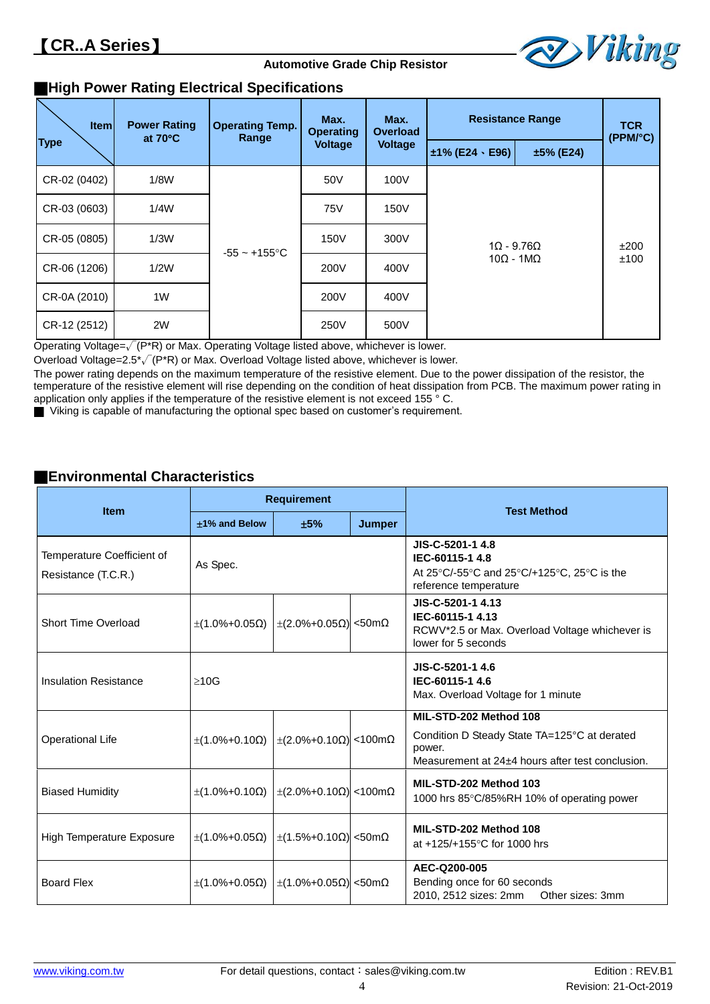

# **High Power Rating Electrical Specifications**

| <b>Item</b>  | <b>Power Rating</b><br>at $70^{\circ}$ C | <b>Operating Temp.</b><br>Range | Max.<br>Max.<br><b>Operating</b><br><b>Overload</b> |                | <b>Resistance Range</b>  | <b>TCR</b><br>(PPM/°C) |  |  |
|--------------|------------------------------------------|---------------------------------|-----------------------------------------------------|----------------|--------------------------|------------------------|--|--|
| <b>Type</b>  |                                          |                                 | <b>Voltage</b>                                      | <b>Voltage</b> | $±1\%$ (E24 $\cdot$ E96) | $±5%$ (E24)            |  |  |
| CR-02 (0402) | 1/8W                                     |                                 | 50 <sub>V</sub>                                     | 100V           |                          |                        |  |  |
| CR-03 (0603) | 1/4W                                     |                                 | <b>75V</b>                                          | 150V           |                          |                        |  |  |
| CR-05 (0805) | 1/3W                                     | $-55 - +155$ °C                 | 150V                                                | 300V           | $1\Omega - 9.76\Omega$   | ±200                   |  |  |
| CR-06 (1206) | 1/2W                                     |                                 | 200V                                                | 400V           | $10\Omega - 1M\Omega$    | ±100                   |  |  |
| CR-0A (2010) | 1W                                       |                                 | 200V                                                | 400V           |                          |                        |  |  |
| CR-12 (2512) | 2W                                       |                                 | 250V                                                | 500V           |                          |                        |  |  |

Operating Voltage=√(P\*R) or Max. Operating Voltage listed above, whichever is lower.

Overload Voltage=2.5\*√(P\*R) or Max. Overload Voltage listed above, whichever is lower.

The power rating depends on the maximum temperature of the resistive element. Due to the power dissipation of the resistor, the temperature of the resistive element will rise depending on the condition of heat dissipation from PCB. The maximum power rating in application only applies if the temperature of the resistive element is not exceed 155 ° C.

Viking is capable of manufacturing the optional spec based on customer's requirement.

## **Environmental Characteristics**

| <b>Item</b>                                       |                                              | <b>Requirement</b>       |        | <b>Test Method</b>                                                                                                                                                                                                   |
|---------------------------------------------------|----------------------------------------------|--------------------------|--------|----------------------------------------------------------------------------------------------------------------------------------------------------------------------------------------------------------------------|
|                                                   | ±1% and Below                                | ±5%                      | Jumper |                                                                                                                                                                                                                      |
| Temperature Coefficient of<br>Resistance (T.C.R.) | As Spec.                                     |                          |        | JIS-C-5201-1 4.8<br>IEC-60115-1 4.8<br>At 25 $\mathrm{^{\circ}C}/\mathrm{^{\circ}G}$ and 25 $\mathrm{^{\circ}C}/\mathrm{^{\circ}125}$ $\mathrm{^{\circ}C}$ . 25 $\mathrm{^{\circ}C}$ is the<br>reference temperature |
| Short Time Overload                               | $\pm$ (1.0%+0.05Ω) $\pm$ (2.0%+0.05Ω) <50mΩ  |                          |        | JIS-C-5201-1 4.13<br>IEC-60115-1 4.13<br>RCWV*2.5 or Max. Overload Voltage whichever is<br>lower for 5 seconds                                                                                                       |
| <b>Insulation Resistance</b>                      | $\geq 10$ G                                  |                          |        | JIS-C-5201-1 4.6<br>IEC-60115-1 4.6<br>Max. Overload Voltage for 1 minute                                                                                                                                            |
| <b>Operational Life</b>                           | $\pm$ (1.0%+0.10Ω) $\pm$ (2.0%+0.10Ω) <100mΩ |                          |        | MIL-STD-202 Method 108<br>Condition D Steady State TA=125°C at derated<br>power.<br>Measurement at 24±4 hours after test conclusion.                                                                                 |
| <b>Biased Humidity</b>                            | $\pm$ (1.0%+0.10Ω) $\pm$ (2.0%+0.10Ω) <100mΩ |                          |        | MIL-STD-202 Method 103<br>1000 hrs 85°C/85%RH 10% of operating power                                                                                                                                                 |
| <b>High Temperature Exposure</b>                  | $\pm$ (1.0%+0.05Ω)                           | $\pm$ (1.5%+0.10Ω) <50mΩ |        | MIL-STD-202 Method 108<br>at +125/+155°C for 1000 hrs                                                                                                                                                                |
| <b>Board Flex</b>                                 | $\pm$ (1.0%+0.05Ω)                           | $\pm$ (1.0%+0.05Ω) <50mΩ |        | AEC-Q200-005<br>Bending once for 60 seconds<br>2010, 2512 sizes: 2mm<br>Other sizes: 3mm                                                                                                                             |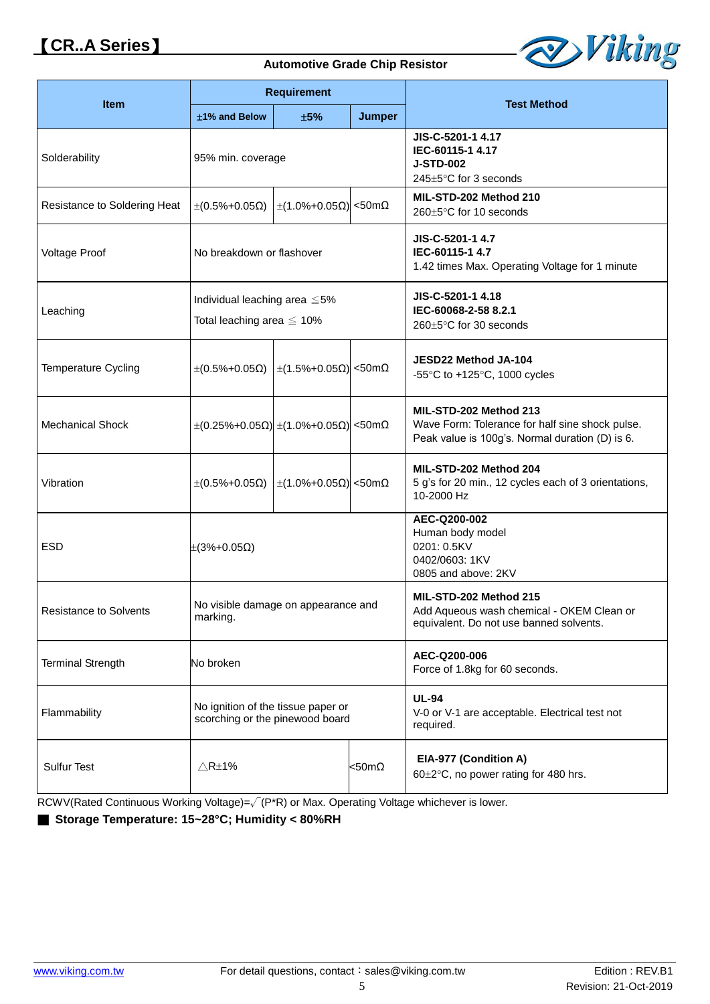# **CR..A Series**

#### **Automotive Grade Chip Resistor**



|                               | <b>Requirement</b>                                                     |     |                  |                                                                                                                              |
|-------------------------------|------------------------------------------------------------------------|-----|------------------|------------------------------------------------------------------------------------------------------------------------------|
| <b>Item</b>                   | ±1% and Below                                                          | ±5% | <b>Jumper</b>    | <b>Test Method</b>                                                                                                           |
| Solderability                 | 95% min. coverage                                                      |     |                  | JIS-C-5201-1 4.17<br>IEC-60115-1 4.17<br><b>J-STD-002</b><br>245±5°C for 3 seconds                                           |
| Resistance to Soldering Heat  | $\pm (0.5\% + 0.05\Omega)$ $\pm (1.0\% + 0.05\Omega)$ <50mΩ            |     |                  | MIL-STD-202 Method 210<br>260±5°C for 10 seconds                                                                             |
| Voltage Proof                 | No breakdown or flashover                                              |     |                  | JIS-C-5201-1 4.7<br>IEC-60115-1 4.7<br>1.42 times Max. Operating Voltage for 1 minute                                        |
| Leaching                      | Individual leaching area $\leq 5\%$<br>Total leaching area $\leq 10\%$ |     |                  | JIS-C-5201-1 4.18<br>IEC-60068-2-58 8.2.1<br>260±5°C for 30 seconds                                                          |
| <b>Temperature Cycling</b>    | $\pm (0.5\% + 0.05\Omega)$   $\pm (1.5\% + 0.05\Omega)$   <50mΩ        |     |                  | JESD22 Method JA-104<br>-55 $\degree$ C to +125 $\degree$ C, 1000 cycles                                                     |
| <b>Mechanical Shock</b>       | $\pm (0.25\% + 0.05\Omega) \pm (1.0\% + 0.05\Omega)$ <50mΩ             |     |                  | MIL-STD-202 Method 213<br>Wave Form: Tolerance for half sine shock pulse.<br>Peak value is 100g's. Normal duration (D) is 6. |
| Vibration                     | $\pm (0.5\% + 0.05\Omega)$   $\pm (1.0\% + 0.05\Omega)$   <50mΩ        |     |                  | MIL-STD-202 Method 204<br>5 g's for 20 min., 12 cycles each of 3 orientations,<br>10-2000 Hz                                 |
| <b>ESD</b>                    | $\pm(3\%+0.05\Omega)$                                                  |     |                  | AEC-Q200-002<br>Human body model<br>0201: 0.5KV<br>0402/0603: 1KV<br>0805 and above: 2KV                                     |
| <b>Resistance to Solvents</b> | No visible damage on appearance and<br>marking.                        |     |                  | MIL-STD-202 Method 215<br>Add Aqueous wash chemical - OKEM Clean or<br>equivalent. Do not use banned solvents.               |
| <b>Terminal Strength</b>      | No broken                                                              |     |                  | AEC-Q200-006<br>Force of 1.8kg for 60 seconds.                                                                               |
| Flammability                  | No ignition of the tissue paper or<br>scorching or the pinewood board  |     |                  | <b>UL-94</b><br>V-0 or V-1 are acceptable. Electrical test not<br>required.                                                  |
| <b>Sulfur Test</b>            | $\triangle$ R $\pm$ 1%                                                 |     | $<$ 50m $\Omega$ | EIA-977 (Condition A)<br>60±2°C, no power rating for 480 hrs.                                                                |

RCWV(Rated Continuous Working Voltage)=√(P\*R) or Max. Operating Voltage whichever is lower.

■ Storage Temperature: 15~28°C; Humidity < 80%RH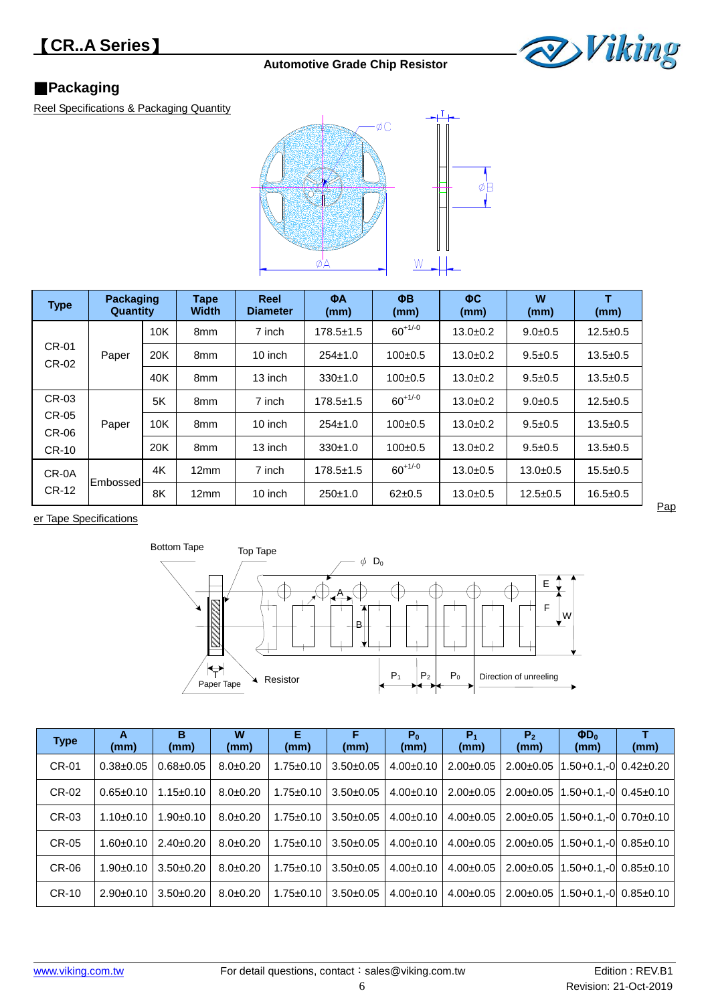

# **Packaging**

Reel Specifications & Packaging Quantity



| <b>Type</b>           | <b>Packaging</b><br>Quantity |     | <b>Tape</b><br><b>Width</b> | Reel<br><b>Diameter</b> | ΦA<br>(mm)      | ΦB<br>(mm)   | ФC.<br>(mm)  | W<br>(mm)     | т<br>(mm)      |
|-----------------------|------------------------------|-----|-----------------------------|-------------------------|-----------------|--------------|--------------|---------------|----------------|
|                       |                              | 10K | 8mm                         | 7 inch                  | $178.5 \pm 1.5$ | $60^{+1/-0}$ | $13.0 + 0.2$ | $9.0 + 0.5$   | $12.5 + 0.5$   |
| <b>CR-01</b><br>CR-02 | Paper                        | 20K | 8 <sub>mm</sub>             | 10 inch                 | $254 \pm 1.0$   | $100+0.5$    | $13.0+0.2$   | $9.5 \pm 0.5$ | $13.5 \pm 0.5$ |
|                       |                              | 40K | 8 <sub>mm</sub>             | 13 inch                 | 330±1.0         | $100+0.5$    | $13.0+0.2$   | $9.5 \pm 0.5$ | $13.5 \pm 0.5$ |
| CR-03                 |                              | 5K  | 8 <sub>mm</sub>             | 7 inch                  | $178.5 \pm 1.5$ | $60^{+1/-0}$ | $13.0+0.2$   | $9.0 + 0.5$   | $12.5 \pm 0.5$ |
| CR-05<br>CR-06        | Paper                        | 10K | 8 <sub>mm</sub>             | 10 inch                 | $254 \pm 1.0$   | $100+0.5$    | $13.0+0.2$   | $9.5 \pm 0.5$ | $13.5 + 0.5$   |
| <b>CR-10</b>          |                              | 20K | 8 <sub>mm</sub>             | 13 inch                 | 330±1.0         | $100+0.5$    | $13.0+0.2$   | $9.5 \pm 0.5$ | $13.5 + 0.5$   |
| CR-0A                 |                              | 4K  | 12mm                        | 7 inch                  | $178.5 \pm 1.5$ | $60^{+1/0}$  | $13.0 + 0.5$ | $13.0 + 0.5$  | $15.5 + 0.5$   |
| <b>CR-12</b>          | Embossed                     | 8K  | 12mm                        | 10 inch                 | 250±1.0         | $62+0.5$     | $13.0 + 0.5$ | $12.5 + 0.5$  | $16.5 + 0.5$   |

er Tape Specifications



| <b>Type</b>  | А<br>(mm)       | в<br>(mm)       | W<br>(mm)      | Е<br>(mm)       | F<br>(mm)       | $P_0$<br>(mm)   | $P_1$<br>(mm)   | P <sub>2</sub><br>(mm) | $\Phi D_0$<br>(mm)                            | (mm) |
|--------------|-----------------|-----------------|----------------|-----------------|-----------------|-----------------|-----------------|------------------------|-----------------------------------------------|------|
| CR-01        | $0.38 + 0.05$   | $0.68 + 0.05$   | $8.0 + 0.20$   | $1.75 \pm 0.10$ | $3.50+0.05$     | $4.00 \pm 0.10$ | $2.00+0.05$     | $2.00+0.05$            | 1.50+0.1.-0 0.42±0.20                         |      |
| CR-02        | $0.65 \pm 0.10$ | $1.15 \pm 0.10$ | $8.0 \pm 0.20$ | $1.75 \pm 0.10$ | $3.50+0.05$     | $4.00 \pm 0.10$ | $2.00 \pm 0.05$ |                        | $2.00\pm0.05$ $11.50+0.1$ .-0 $0.45\pm0.10$   |      |
| CR-03        | $1.10 \pm 0.10$ | $1.90+0.10$     | $8.0 + 0.20$   | $1.75 \pm 0.10$ | $3.50 \pm 0.05$ | $4.00 \pm 0.10$ | $4.00 \pm 0.05$ |                        | $2.00\pm0.05$  1.50+0.1.-0  0.70 $\pm$ 0.10   |      |
| <b>CR-05</b> | $1.60 + 0.10$   | $2.40 \pm 0.20$ | $8.0 \pm 0.20$ | $1.75 \pm 0.10$ | $3.50 \pm 0.05$ | $4.00 \pm 0.10$ | $4.00 \pm 0.05$ |                        | $2.00\pm0.05$   1.50+0.1,-0   0.85 $\pm$ 0.10 |      |
| CR-06        | $1.90+0.10$     | $3.50+0.20$     | $8.0 \pm 0.20$ | $1.75 \pm 0.10$ | $3.50 \pm 0.05$ | $4.00 \pm 0.10$ | $4.00 \pm 0.05$ |                        | $2.00\pm0.05$ $11.50+0.1$ .-0 $0.85\pm0.10$   |      |
| <b>CR-10</b> | $2.90+0.10$     | $3.50+0.20$     | $8.0 \pm 0.20$ | $1.75 \pm 0.10$ | $3.50 \pm 0.05$ | $4.00+0.10$     | $4.00 \pm 0.05$ | $2.00+0.05$            | $11.50 + 0.1 - 010.85 + 0.10$                 |      |

Pap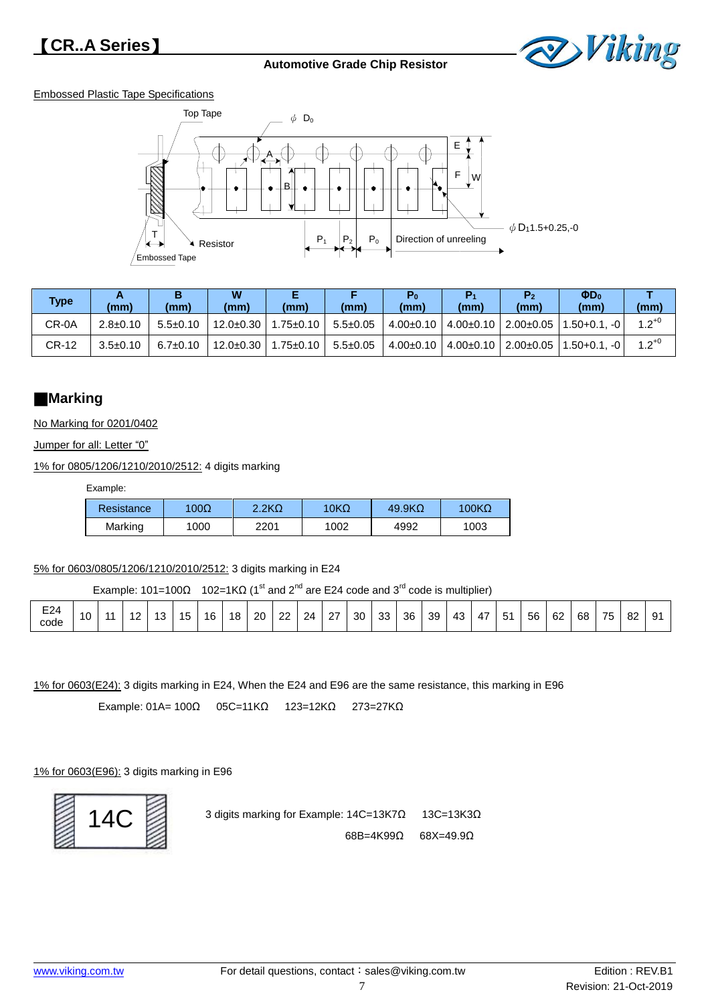

#### Embossed Plastic Tape Specifications



| <b>Type</b> | (mm)           | (mm)           | W<br>(mm)       | (mm)            | (mm)           | $P_0$<br>(mm) | P<br>(mm)                     | P <sub>2</sub><br>(mm) | $\Phi D_0$<br>(mm) | (mm)       |
|-------------|----------------|----------------|-----------------|-----------------|----------------|---------------|-------------------------------|------------------------|--------------------|------------|
| CR-0A       | $2.8 \pm 0.10$ | $5.5 \pm 0.10$ | $12.0 \pm 0.30$ | $1.75 \pm 0.10$ | $5.5 \pm 0.05$ |               | $4.00\pm0.10$   $4.00\pm0.10$ | $2.00 \pm 0.05$        | $1.50 + 0.1$ . -0  | $1.2^{+0}$ |
| CR-12       | $3.5 \pm 0.10$ | $6.7 \pm 0.10$ | $12.0 \pm 0.30$ | $1.75 \pm 0.10$ | $5.5 \pm 0.05$ |               | $4.00\pm0.10$   $4.00\pm0.10$ | $2.00 \pm 0.05$        | l 1.50+0.1. -0 l   | $1.2^{+0}$ |

## **Marking**

No Marking for 0201/0402

Jumper for all: Letter "0"

1% for 0805/1206/1210/2010/2512: 4 digits marking

Example:

| Resistance | 100 $\Omega$ | 2.2 <sub>K</sub> | 10K $\Omega$ | 49.9K <sub>Ω</sub> | $100K\Omega$ |
|------------|--------------|------------------|--------------|--------------------|--------------|
| Marking    | 1000         | 2201             | 1002         | 4992               | 1003         |

5% for 0603/0805/1206/1210/2010/2512: 3 digits marking in E24

Example: 101=100Ω 102=1KΩ (1<sup>st</sup> and 2<sup>nd</sup> are E24 code and 3<sup>rd</sup> code is multiplier)

|  | <b>FO4</b><br>EZ4<br>code | 10 |  | 10 | د. | $\overline{\phantom{0}}$ | 16 | 18 | 20 | ົດ<br>-- | 24 | - 27<br>- | 30 | ററ<br>ູບບ | 36 | 39 | 43 | 47 | -54<br>ັ | 56 | 62 | 68 | 75 | ാറ<br>٥z | O1<br>ັ |  |
|--|---------------------------|----|--|----|----|--------------------------|----|----|----|----------|----|-----------|----|-----------|----|----|----|----|----------|----|----|----|----|----------|---------|--|
|--|---------------------------|----|--|----|----|--------------------------|----|----|----|----------|----|-----------|----|-----------|----|----|----|----|----------|----|----|----|----|----------|---------|--|

1% for 0603(E24): 3 digits marking in E24, When the E24 and E96 are the same resistance, this marking in E96

Example: 01A= 100Ω 05C=11KΩ 123=12KΩ 273=27KΩ

1% for 0603(E96): 3 digits marking in E96



3 digits marking for Example: 14C=13K7Ω 13C=13K3Ω 68B=4K99Ω 68X=49.9Ω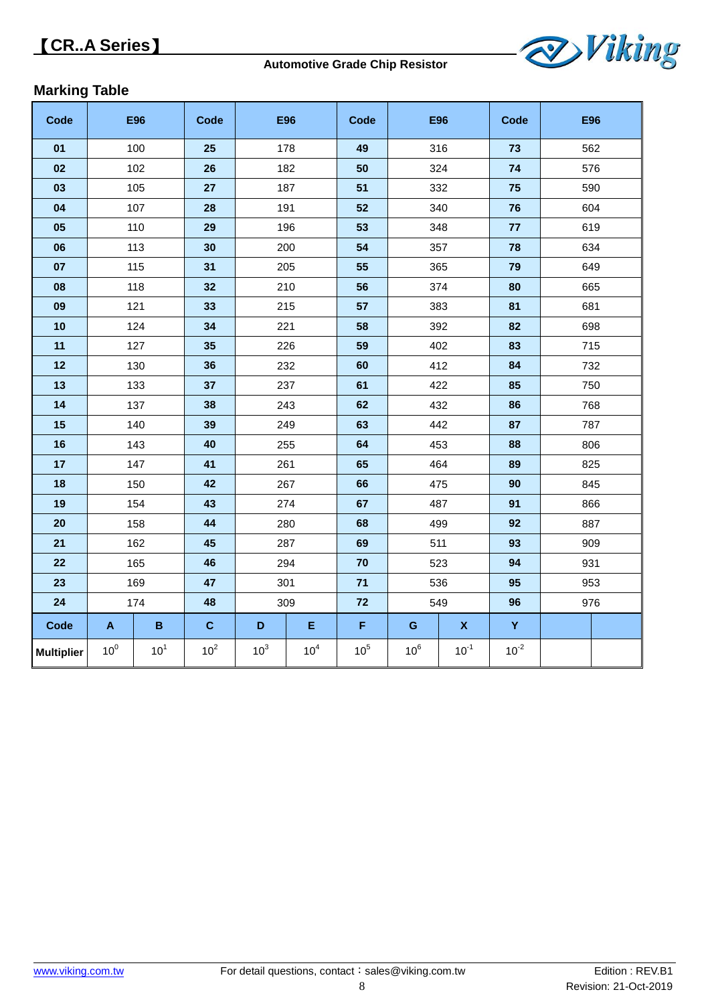

# **Marking Table**

| Code              |                           | <b>E96</b>      | Code            |                 | <b>E96</b>      | Code            |                 | <b>E96</b>         | Code      |     | <b>E96</b> |  |     |  |  |  |  |  |  |  |  |  |  |  |  |  |  |  |  |  |  |  |     |
|-------------------|---------------------------|-----------------|-----------------|-----------------|-----------------|-----------------|-----------------|--------------------|-----------|-----|------------|--|-----|--|--|--|--|--|--|--|--|--|--|--|--|--|--|--|--|--|--|--|-----|
| 01                |                           | 100             | 25              |                 | 178             | 49              |                 | 316                | 73        | 562 |            |  |     |  |  |  |  |  |  |  |  |  |  |  |  |  |  |  |  |  |  |  |     |
| 02                |                           | 102             | 26              |                 | 182             | 50              |                 | 324                | 74        | 576 |            |  |     |  |  |  |  |  |  |  |  |  |  |  |  |  |  |  |  |  |  |  |     |
| 03                |                           | 105             | 27              |                 | 187             | 51              |                 | 332                | 75        | 590 |            |  |     |  |  |  |  |  |  |  |  |  |  |  |  |  |  |  |  |  |  |  |     |
| 04                |                           | 107             | 28              |                 | 191             | 52              |                 | 340                | 76        |     | 604        |  |     |  |  |  |  |  |  |  |  |  |  |  |  |  |  |  |  |  |  |  |     |
| 05                |                           | 110             | 29              |                 | 196             | 53              |                 | 348                | 77        | 619 |            |  |     |  |  |  |  |  |  |  |  |  |  |  |  |  |  |  |  |  |  |  |     |
| 06                |                           | 113             | 30              |                 | 200             | 54              |                 | 357                | 78        |     | 634        |  |     |  |  |  |  |  |  |  |  |  |  |  |  |  |  |  |  |  |  |  |     |
| 07                |                           | 115             | 31              |                 | 205             | 55              |                 | 365                | 79        |     | 649        |  |     |  |  |  |  |  |  |  |  |  |  |  |  |  |  |  |  |  |  |  |     |
| 08                |                           | 118             | 32              |                 | 210             | 56              |                 | 374                | 80        | 665 |            |  |     |  |  |  |  |  |  |  |  |  |  |  |  |  |  |  |  |  |  |  |     |
| 09                |                           | 121             | 33              |                 | 215             | 57              |                 | 383                | 81        | 681 |            |  |     |  |  |  |  |  |  |  |  |  |  |  |  |  |  |  |  |  |  |  |     |
| 10                |                           | 124             | 34              | 221             |                 | 58              |                 | 392                | 82        | 698 |            |  |     |  |  |  |  |  |  |  |  |  |  |  |  |  |  |  |  |  |  |  |     |
| 11                |                           | 127             | 35              |                 | 226             | 59              |                 | 402                | 83        | 715 |            |  |     |  |  |  |  |  |  |  |  |  |  |  |  |  |  |  |  |  |  |  |     |
| 12                |                           | 130             | 36              | 232             |                 | 60              | 412             |                    | 84        |     | 732        |  |     |  |  |  |  |  |  |  |  |  |  |  |  |  |  |  |  |  |  |  |     |
| 13                |                           | 133             | 37              | 237             |                 | 61              | 422             |                    |           |     | 85         |  | 750 |  |  |  |  |  |  |  |  |  |  |  |  |  |  |  |  |  |  |  |     |
| 14                |                           | 137             | 38              |                 | 243             | 62              |                 | 432                |           | 768 |            |  |     |  |  |  |  |  |  |  |  |  |  |  |  |  |  |  |  |  |  |  |     |
| 15                |                           | 140             | 39              |                 | 249             | 63              | 442             |                    | 87        |     | 787        |  |     |  |  |  |  |  |  |  |  |  |  |  |  |  |  |  |  |  |  |  |     |
| 16                |                           | 143             | 40              |                 | 255             | 64              |                 | 453                | 88        |     | 806        |  |     |  |  |  |  |  |  |  |  |  |  |  |  |  |  |  |  |  |  |  |     |
| 17                |                           | 147             | 41              | 261             |                 | 65              |                 | 464                |           |     |            |  | 825 |  |  |  |  |  |  |  |  |  |  |  |  |  |  |  |  |  |  |  |     |
| 18                |                           | 150             | 42              |                 | 267             | 66              | 475             |                    |           |     | 90         |  | 845 |  |  |  |  |  |  |  |  |  |  |  |  |  |  |  |  |  |  |  |     |
| 19                |                           | 154             | 43              |                 | 274             | 67              | 487             |                    |           |     | 91         |  | 866 |  |  |  |  |  |  |  |  |  |  |  |  |  |  |  |  |  |  |  |     |
| 20                | 158                       |                 | 44              | 280             |                 | 68              |                 | 499                |           |     |            |  |     |  |  |  |  |  |  |  |  |  |  |  |  |  |  |  |  |  |  |  | 887 |
| 21                |                           | 162             | 45              |                 | 287             | 69              | 511             |                    | 93        |     | 909        |  |     |  |  |  |  |  |  |  |  |  |  |  |  |  |  |  |  |  |  |  |     |
| 22                |                           | 46<br>165       |                 | 294             |                 | 70              |                 | 523                |           |     | 931        |  |     |  |  |  |  |  |  |  |  |  |  |  |  |  |  |  |  |  |  |  |     |
| 23                | 169                       |                 | 47              | 301             |                 | 71              | 536             |                    | 95        | 953 |            |  |     |  |  |  |  |  |  |  |  |  |  |  |  |  |  |  |  |  |  |  |     |
| 24                |                           | 174             | 48              | 309             |                 | 72              | 549             |                    | 96        |     | 976        |  |     |  |  |  |  |  |  |  |  |  |  |  |  |  |  |  |  |  |  |  |     |
| <b>Code</b>       | $\boldsymbol{\mathsf{A}}$ | $\, {\bf B}$    | $\mathbf C$     | D               | E               | F               | ${\bf G}$       | $\pmb{\mathsf{X}}$ | Y         |     |            |  |     |  |  |  |  |  |  |  |  |  |  |  |  |  |  |  |  |  |  |  |     |
| <b>Multiplier</b> | 10 <sup>0</sup>           | 10 <sup>1</sup> | 10 <sup>2</sup> | 10 <sup>3</sup> | 10 <sup>4</sup> | 10 <sup>5</sup> | 10 <sup>6</sup> | $10^{-1}$          | $10^{-2}$ |     |            |  |     |  |  |  |  |  |  |  |  |  |  |  |  |  |  |  |  |  |  |  |     |